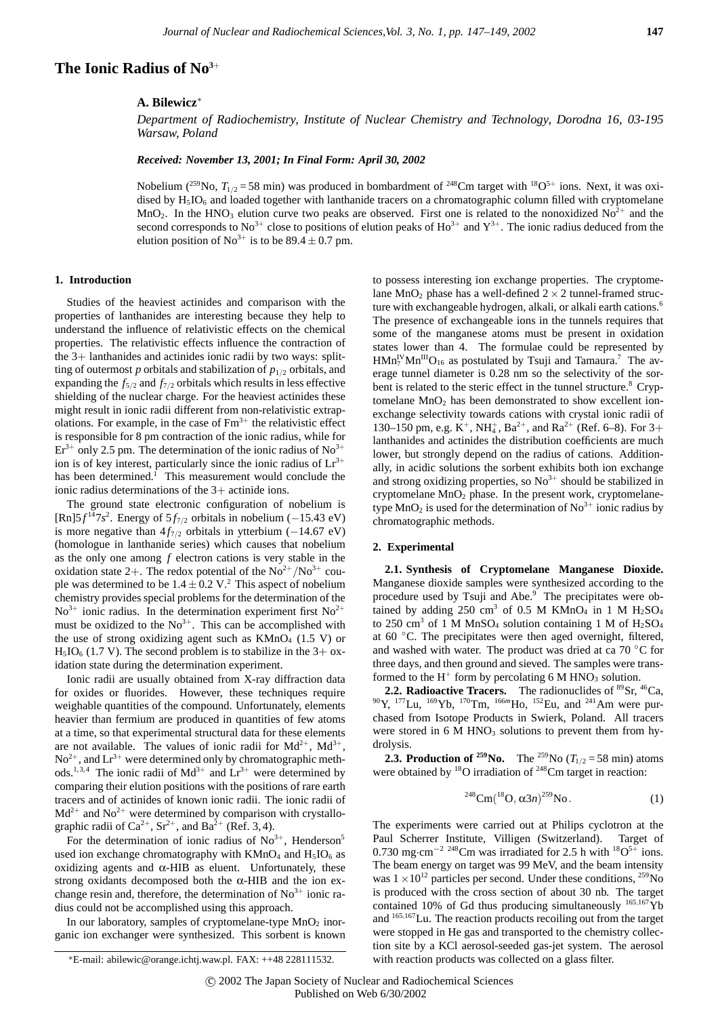# **The Ionic Radius of No3**<sup>+</sup>

### **A. Bilewicz**<sup>∗</sup>

*Department of Radiochemistry, Institute of Nuclear Chemistry and Technology, Dorodna 16, 03-195 Warsaw, Poland*

*Received: November 13, 2001; In Final Form: April 30, 2002*

Nobelium (<sup>259</sup>No,  $T_{1/2}$  = 58 min) was produced in bombardment of <sup>248</sup>Cm target with <sup>18</sup>O<sup>5+</sup> ions. Next, it was oxidised by  $H<sub>5</sub>IO<sub>6</sub>$  and loaded together with lanthanide tracers on a chromatographic column filled with cryptomelane MnO<sub>2</sub>. In the HNO<sub>3</sub> elution curve two peaks are observed. First one is related to the nonoxidized No<sup>2+</sup> and the second corresponds to No<sup>3+</sup> close to positions of elution peaks of Ho<sup>3+</sup> and Y<sup>3+</sup>. The ionic radius deduced from the elution position of No<sup>3+</sup> is to be  $89.4 \pm 0.7$  pm.

#### **1. Introduction**

Studies of the heaviest actinides and comparison with the properties of lanthanides are interesting because they help to understand the influence of relativistic effects on the chemical properties. The relativistic effects influence the contraction of the 3+ lanthanides and actinides ionic radii by two ways: splitting of outermost *p* orbitals and stabilization of  $p_{1/2}$  orbitals, and expanding the  $f_{5/2}$  and  $f_{7/2}$  orbitals which results in less effective shielding of the nuclear charge. For the heaviest actinides these might result in ionic radii different from non-relativistic extrapolations. For example, in the case of  $Fm<sup>3+</sup>$  the relativistic effect is responsible for 8 pm contraction of the ionic radius, while for  $Er<sup>3+</sup>$  only 2.5 pm. The determination of the ionic radius of No<sup>3+</sup> ion is of key interest, particularly since the ionic radius of  $Lr^{3+}$ has been determined.<sup>1</sup> This measurement would conclude the ionic radius determinations of the 3+ actinide ions.

The ground state electronic configuration of nobelium is  $[Rn]5f^{14}7s^2$ . Energy of  $5f_{7/2}$  orbitals in nobelium (−15.43 eV) is more negative than  $4f_{7/2}$  orbitals in ytterbium (−14.67 eV) (homologue in lanthanide series) which causes that nobelium as the only one among *f* electron cations is very stable in the oxidation state 2+. The redox potential of the  $No^{2+}/No^{3+}$  couple was determined to be  $1.4 \pm 0.2$  V.<sup>2</sup> This aspect of nobelium chemistry provides special problems for the determination of the  $\text{No}^{3+}$  ionic radius. In the determination experiment first  $\text{No}^{2+}$ must be oxidized to the  $No<sup>3+</sup>$ . This can be accomplished with the use of strong oxidizing agent such as  $KMnO<sub>4</sub>$  (1.5 V) or  $H<sub>5</sub>IO<sub>6</sub>$  (1.7 V). The second problem is to stabilize in the 3+ oxidation state during the determination experiment.

Ionic radii are usually obtained from X-ray diffraction data for oxides or fluorides. However, these techniques require weighable quantities of the compound. Unfortunately, elements heavier than fermium are produced in quantities of few atoms at a time, so that experimental structural data for these elements are not available. The values of ionic radii for  $Md^{2+}$ ,  $Md^{3+}$ ,  $\text{No}^{2+}$ , and  $\text{Ln}^{3+}$  were determined only by chromatographic methods.<sup>1,3,4</sup> The ionic radii of  $Md^{3+}$  and  $Lr^{3+}$  were determined by comparing their elution positions with the positions of rare earth tracers and of actinides of known ionic radii. The ionic radii of  $Md^{2+}$  and  $No^{2+}$  were determined by comparison with crystallographic radii of  $Ca^{2+}$ ,  $Sr^{2+}$ , and  $Ba^{2+}$  (Ref. 3,4).

For the determination of ionic radius of  $No<sup>3+</sup>$ , Henderson<sup>5</sup> used ion exchange chromatography with  $KMnO_4$  and  $H_5IO_6$  as oxidizing agents and  $α$ -HIB as eluent. Unfortunately, these strong oxidants decomposed both the  $\alpha$ -HIB and the ion exchange resin and, therefore, the determination of  $No<sup>3+</sup>$  ionic radius could not be accomplished using this approach.

In our laboratory, samples of cryptomelane-type  $MnO<sub>2</sub>$  inorganic ion exchanger were synthesized. This sorbent is known to possess interesting ion exchange properties. The cryptomelane MnO<sub>2</sub> phase has a well-defined  $2 \times 2$  tunnel-framed structure with exchangeable hydrogen, alkali, or alkali earth cations.<sup>6</sup> The presence of exchangeable ions in the tunnels requires that some of the manganese atoms must be present in oxidation states lower than 4. The formulae could be represented by  $HMn_7^{\text{IV}}Mn^{\text{III}}O_{16}$  as postulated by Tsuji and Tamaura.<sup>7</sup> The average tunnel diameter is 0.28 nm so the selectivity of the sorbent is related to the steric effect in the tunnel structure.<sup>8</sup> Cryptomelane  $MnO<sub>2</sub>$  has been demonstrated to show excellent ionexchange selectivity towards cations with crystal ionic radii of 130–150 pm, e.g.  $K^+$ , NH<sub>4</sub>, Ba<sup>2+</sup>, and Ra<sup>2+</sup> (Ref. 6–8). For 3+ lanthanides and actinides the distribution coefficients are much lower, but strongly depend on the radius of cations. Additionally, in acidic solutions the sorbent exhibits both ion exchange and strong oxidizing properties, so  $No<sup>3+</sup>$  should be stabilized in cryptomelane  $MnO<sub>2</sub>$  phase. In the present work, cryptomelanetype MnO<sub>2</sub> is used for the determination of No<sup>3+</sup> ionic radius by chromatographic methods.

## **2. Experimental**

**2.1. Synthesis of Cryptomelane Manganese Dioxide.** Manganese dioxide samples were synthesized according to the procedure used by Tsuji and Abe.<sup>9</sup> The precipitates were obtained by adding 250 cm<sup>3</sup> of 0.5 M KMnO<sub>4</sub> in 1 M  $H_2SO_4$ to 250 cm<sup>3</sup> of 1 M MnSO<sub>4</sub> solution containing 1 M of  $H_2SO_4$ at  $60^{\circ}$ C. The precipitates were then aged overnight, filtered, and washed with water. The product was dried at ca  $70 °C$  for three days, and then ground and sieved. The samples were transformed to the  $H^+$  form by percolating 6 M HNO<sub>3</sub> solution.

**2.2. Radioactive Tracers.** The radionuclides of <sup>89</sup>Sr, <sup>46</sup>Ca, 90Y, 177Lu, 169Yb, 170Tm, <sup>166</sup>*<sup>m</sup>*Ho, 152Eu, and 241Am were purchased from Isotope Products in Swierk, Poland. All tracers were stored in  $6$  M HNO<sub>3</sub> solutions to prevent them from hydrolysis.

**2.3. Production of**  $^{259}$ **No.** The  $^{259}$ **No** ( $T_{1/2} = 58$  min) atoms were obtained by  $^{18}O$  irradiation of  $^{248}Cm$  target in reaction:

$$
^{248} \text{Cm} (^{18} \text{O}, \alpha 3n)^{259} \text{No}. \tag{1}
$$

The experiments were carried out at Philips cyclotron at the Paul Scherrer Institute, Villigen (Switzerland). Target of 0.730 mg·cm<sup>-2 248</sup>Cm was irradiated for 2.5 h with <sup>18</sup>O<sup>5+</sup> ions. The beam energy on target was 99 MeV, and the beam intensity was  $1 \times 10^{12}$  particles per second. Under these conditions,  $^{259}$ No is produced with the cross section of about 30 nb. The target contained 10% of Gd thus producing simultaneously <sup>165</sup>*,*167Yb and <sup>165</sup>*,*167Lu. The reaction products recoiling out from the target were stopped in He gas and transported to the chemistry collection site by a KCl aerosol-seeded gas-jet system. The aerosol with reaction products was collected on a glass filter.

<sup>∗</sup>E-mail: abilewic@orange.ichtj.waw.pl. FAX: ++48 228111532.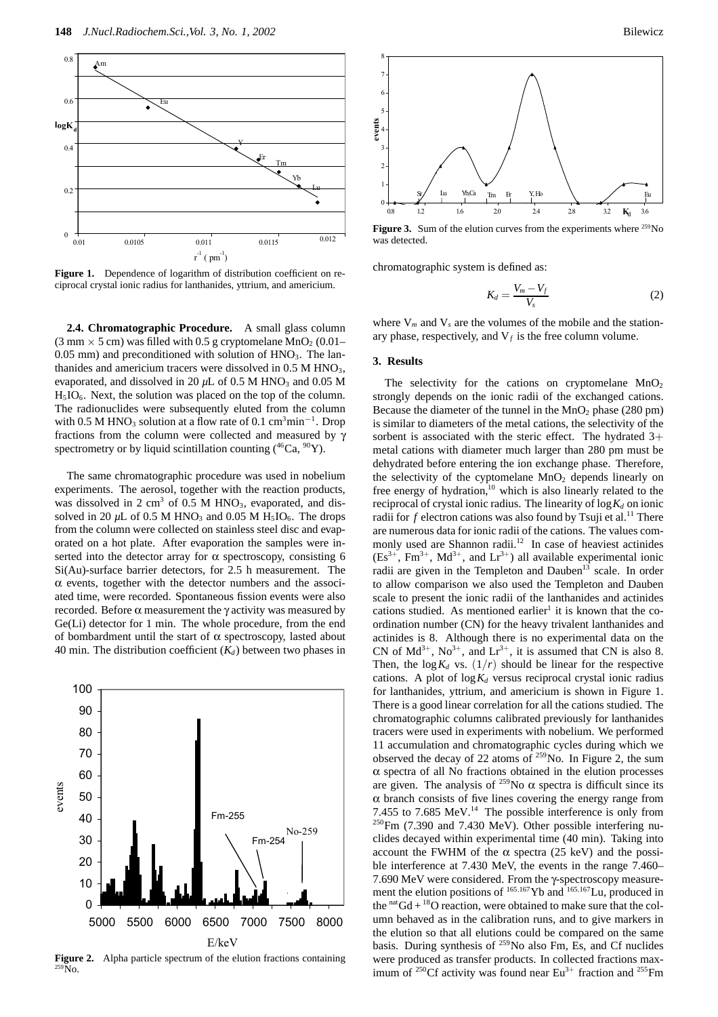

Figure 1. Dependence of logarithm of distribution coefficient on reciprocal crystal ionic radius for lanthanides, yttrium, and americium.

**2.4. Chromatographic Procedure.** A small glass column  $(3 \text{ mm} \times 5 \text{ cm})$  was filled with 0.5 g cryptomelane MnO<sub>2</sub> (0.01–  $0.05$  mm) and preconditioned with solution of  $HNO<sub>3</sub>$ . The lanthanides and americium tracers were dissolved in  $0.5$  M HNO<sub>3</sub>, evaporated, and dissolved in 20  $\mu$ L of 0.5 M HNO<sub>3</sub> and 0.05 M  $H<sub>5</sub>IO<sub>6</sub>$ . Next, the solution was placed on the top of the column. The radionuclides were subsequently eluted from the column with 0.5 M HNO<sub>3</sub> solution at a flow rate of 0.1 cm<sup>3</sup>min<sup>-1</sup>. Drop fractions from the column were collected and measured by γ spectrometry or by liquid scintillation counting  $(^{46}Ca, ^{90}Y)$ .

The same chromatographic procedure was used in nobelium experiments. The aerosol, together with the reaction products, was dissolved in 2 cm<sup>3</sup> of 0.5 M HNO<sub>3</sub>, evaporated, and dissolved in 20  $\mu$ L of 0.5 M HNO<sub>3</sub> and 0.05 M H<sub>5</sub>IO<sub>6</sub>. The drops from the column were collected on stainless steel disc and evaporated on a hot plate. After evaporation the samples were inserted into the detector array for  $\alpha$  spectroscopy, consisting 6 Si(Au)-surface barrier detectors, for 2.5 h measurement. The  $\alpha$  events, together with the detector numbers and the associated time, were recorded. Spontaneous fission events were also recorded. Before α measurement the γ activity was measured by Ge(Li) detector for 1 min. The whole procedure, from the end of bombardment until the start of  $\alpha$  spectroscopy, lasted about 40 min. The distribution coefficient  $(K_d)$  between two phases in



**Figure 2.** Alpha particle spectrum of the elution fractions containing 259No.



Figure 3. Sum of the elution curves from the experiments where <sup>259</sup>No was detected.

chromatographic system is defined as:

$$
K_d = \frac{V_m - V_f}{V_s} \tag{2}
$$

where  $V_m$  and  $V_s$  are the volumes of the mobile and the stationary phase, respectively, and  $V_f$  is the free column volume.

#### **3. Results**

The selectivity for the cations on cryptomelane  $MnO<sub>2</sub>$ strongly depends on the ionic radii of the exchanged cations. Because the diameter of the tunnel in the  $MnO<sub>2</sub>$  phase (280 pm) is similar to diameters of the metal cations, the selectivity of the sorbent is associated with the steric effect. The hydrated 3+ metal cations with diameter much larger than 280 pm must be dehydrated before entering the ion exchange phase. Therefore, the selectivity of the cyptomelane  $MnO<sub>2</sub>$  depends linearly on free energy of hydration, $10$  which is also linearly related to the reciprocal of crystal ionic radius. The linearity of  $\log K_d$  on ionic radii for  $f$  electron cations was also found by Tsuji et al.<sup>11</sup> There are numerous data for ionic radii of the cations. The values commonly used are Shannon radii.<sup>12</sup> In case of heaviest actinides  $(Es^{3+}, Fm^{3+}, Md^{3+}, and Lr^{3+})$  all available experimental ionic radii are given in the Templeton and Dauben<sup>13</sup> scale. In order to allow comparison we also used the Templeton and Dauben scale to present the ionic radii of the lanthanides and actinides cations studied. As mentioned earlier<sup>1</sup> it is known that the coordination number (CN) for the heavy trivalent lanthanides and actinides is 8. Although there is no experimental data on the CN of  $Md^{3+}$ ,  $No^{3+}$ , and  $Lr^{3+}$ , it is assumed that CN is also 8. Then, the  $\log K_d$  vs.  $(1/r)$  should be linear for the respective cations. A plot of  $\log K_d$  versus reciprocal crystal ionic radius for lanthanides, yttrium, and americium is shown in Figure 1. There is a good linear correlation for all the cations studied. The chromatographic columns calibrated previously for lanthanides tracers were used in experiments with nobelium. We performed 11 accumulation and chromatographic cycles during which we observed the decay of 22 atoms of  $259$ No. In Figure 2, the sum α spectra of all No fractions obtained in the elution processes are given. The analysis of <sup>259</sup>No  $\alpha$  spectra is difficult since its  $\alpha$  branch consists of five lines covering the energy range from 7.455 to 7.685 MeV.<sup>14</sup> The possible interference is only from  $^{250}$ Fm (7.390 and 7.430 MeV). Other possible interfering nuclides decayed within experimental time (40 min). Taking into account the FWHM of the  $\alpha$  spectra (25 keV) and the possible interference at 7.430 MeV, the events in the range 7.460– 7.690 MeV were considered. From the γ-spectroscopy measurement the elution positions of <sup>165</sup>*,*167Yb and <sup>165</sup>*,*167Lu, produced in the  $n \text{at } G d + {}^{18}O$  reaction, were obtained to make sure that the column behaved as in the calibration runs, and to give markers in the elution so that all elutions could be compared on the same basis. During synthesis of  $^{259}$ No also Fm, Es, and Cf nuclides were produced as transfer products. In collected fractions maximum of <sup>250</sup>Cf activity was found near  $Eu^{3+}$  fraction and <sup>255</sup>Fm